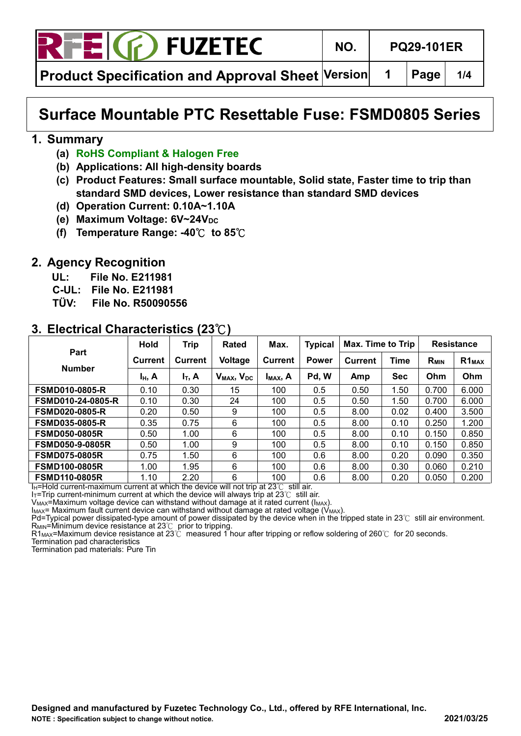

**Product Specification and Approval Sheet Version 1 Page 1/4**

# **Surface Mountable PTC Resettable Fuse: FSMD0805 Series**

#### **1. Summary**

- **(a) RoHS Compliant & Halogen Free**
- **(b) Applications: All high-density boards**
- **(c) Product Features: Small surface mountable, Solid state, Faster time to trip than standard SMD devices, Lower resistance than standard SMD devices**
- **(d) Operation Current: 0.10A~1.10A**
- **(e)** Maximum Voltage: 6V~24V<sub>DC</sub>
- **(f) Temperature Range: -40**℃ **to 85**℃

#### **2. Agency Recognition**

- **UL: File No. E211981**
- **C-UL: File No. E211981**
- **TÜV: File No. R50090556**

#### **3. Electrical Characteristics (23**℃**)**

|                          | <b>Hold</b>    | <b>Trip</b>    | Rated                              | Max.                 | <b>Typical</b> | Max. Time to Trip |            |                  | <b>Resistance</b>             |
|--------------------------|----------------|----------------|------------------------------------|----------------------|----------------|-------------------|------------|------------------|-------------------------------|
| Part                     | <b>Current</b> | <b>Current</b> | Voltage                            | <b>Current</b>       | <b>Power</b>   | <b>Current</b>    | Time       | R <sub>MIN</sub> | R <sub>1</sub> <sub>MAX</sub> |
| <b>Number</b>            | $I_H$ , A      | $I_T$ , A      | V <sub>MAX</sub> , V <sub>DC</sub> | I <sub>MAX</sub> , A | Pd, W          | Amp               | <b>Sec</b> | Ohm              | Ohm                           |
| <b>FSMD010-0805-R</b>    | 0.10           | 0.30           | 15                                 | 100                  | 0.5            | 0.50              | 1.50       | 0.700            | 6.000                         |
| <b>FSMD010-24-0805-R</b> | 0.10           | 0.30           | 24                                 | 100                  | 0.5            | 0.50              | 1.50       | 0.700            | 6.000                         |
| <b>FSMD020-0805-R</b>    | 0.20           | 0.50           | 9                                  | 100                  | 0.5            | 8.00              | 0.02       | 0.400            | 3.500                         |
| <b>FSMD035-0805-R</b>    | 0.35           | 0.75           | 6                                  | 100                  | 0.5            | 8.00              | 0.10       | 0.250            | 1.200                         |
| <b>FSMD050-0805R</b>     | 0.50           | 1.00           | 6                                  | 100                  | 0.5            | 8.00              | 0.10       | 0.150            | 0.850                         |
| <b>FSMD050-9-0805R</b>   | 0.50           | 1.00           | 9                                  | 100                  | 0.5            | 8.00              | 0.10       | 0.150            | 0.850                         |
| <b>FSMD075-0805R</b>     | 0.75           | 1.50           | 6                                  | 100                  | 0.6            | 8.00              | 0.20       | 0.090            | 0.350                         |
| <b>FSMD100-0805R</b>     | 1.00           | 1.95           | 6                                  | 100                  | 0.6            | 8.00              | 0.30       | 0.060            | 0.210                         |
| <b>FSMD110-0805R</b>     | 1.10           | 2.20           | 6                                  | 100                  | 0.6            | 8.00              | 0.20       | 0.050            | 0.200                         |

I<sub>H</sub>=Hold current-maximum current at which the device will not trip at 23℃ still air.

I<sub>T</sub>=Trip current-minimum current at which the device will always trip at 23℃ still air.

 $V_{MAX}$ =Maximum voltage device can withstand without damage at it rated current ( $I_{MAX}$ ).

 $I_{MAX}$ = Maximum fault current device can withstand without damage at rated voltage ( $V_{MAX}$ ). Pd=Typical power dissipated-type amount of power dissipated by the device when in the tripped state in 23℃ still air environment.

 $R_{\text{MIN}}$ =Minimum device resistance at 23℃ prior to tripping.

R1MAX=Maximum device resistance at 23℃ measured 1 hour after tripping or reflow soldering of 260℃ for 20 seconds.

Termination pad characteristics

Termination pad materials: Pure Tin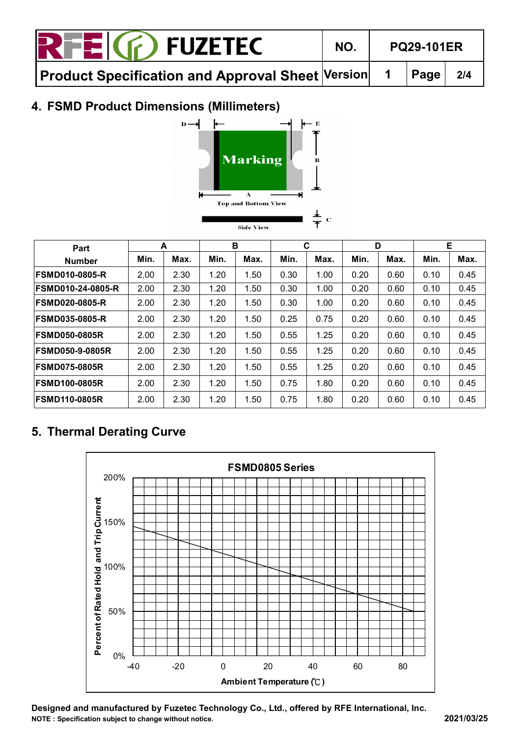| <b>RTEIG</b> FUZETEC                                                                                                                     | NO. | <b>PQ29-101ER</b> |  |
|------------------------------------------------------------------------------------------------------------------------------------------|-----|-------------------|--|
| Product Specification and Approval Sheet $\left \mathsf{Version}\right $ 1 $\left \mathsf{Page}\right $ 2/4 $\left \mathsf{Page}\right $ |     |                   |  |

#### **4. FSMD Product Dimensions (Millimeters)**



**Side View** 

| Part                     | A    |      |      | в    | C    |      | D    |      | Е    |      |
|--------------------------|------|------|------|------|------|------|------|------|------|------|
| <b>Number</b>            | Min. | Max. | Min. | Max. | Min. | Max. | Min. | Max. | Min. | Max. |
| <b>IFSMD010-0805-R</b>   | 2.00 | 2.30 | 1.20 | 1.50 | 0.30 | 1.00 | 0.20 | 0.60 | 0.10 | 0.45 |
| <b>FSMD010-24-0805-R</b> | 2.00 | 2.30 | 1.20 | 1.50 | 0.30 | 1.00 | 0.20 | 0.60 | 0.10 | 0.45 |
| <b>IFSMD020-0805-R</b>   | 2.00 | 2.30 | 1.20 | 1.50 | 0.30 | 1.00 | 0.20 | 0.60 | 0.10 | 0.45 |
| <b>IFSMD035-0805-R</b>   | 2.00 | 2.30 | 1.20 | 1.50 | 0.25 | 0.75 | 0.20 | 0.60 | 0.10 | 0.45 |
| <b>IFSMD050-0805R</b>    | 2.00 | 2.30 | 1.20 | 1.50 | 0.55 | 1.25 | 0.20 | 0.60 | 0.10 | 0.45 |
| <b>IFSMD050-9-0805R</b>  | 2.00 | 2.30 | 1.20 | 1.50 | 0.55 | 1.25 | 0.20 | 0.60 | 0.10 | 0.45 |
| <b>IFSMD075-0805R</b>    | 2.00 | 2.30 | 1.20 | 1.50 | 0.55 | 1.25 | 0.20 | 0.60 | 0.10 | 0.45 |
| <b>IFSMD100-0805R</b>    | 2.00 | 2.30 | 1.20 | 1.50 | 0.75 | 1.80 | 0.20 | 0.60 | 0.10 | 0.45 |
| <b>FSMD110-0805R</b>     | 2.00 | 2.30 | 1.20 | 1.50 | 0.75 | 1.80 | 0.20 | 0.60 | 0.10 | 0.45 |

# **5. Thermal Derating Curve**



**Designed and manufactured by Fuzetec Technology Co., Ltd., offered by RFE International, Inc. NOTE : Specification subject to change without notice. 2021/03/25**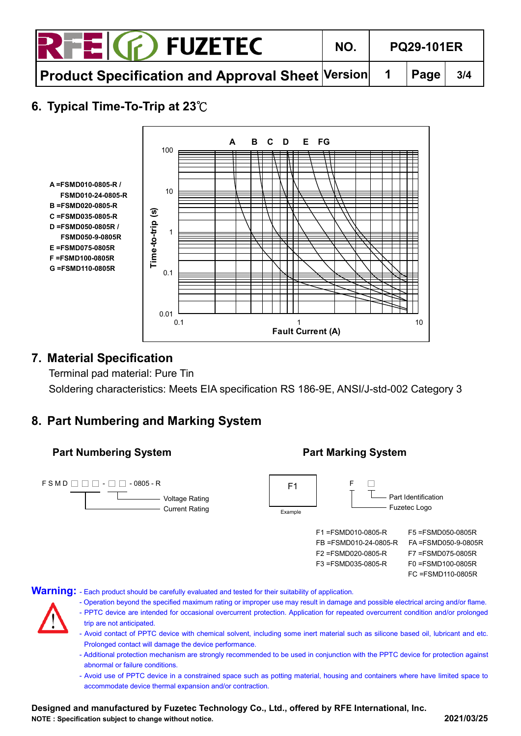| <b>RTEIG</b> FUZETEC                                                                               | NO. | <b>PQ29-101ER</b> |  |     |
|----------------------------------------------------------------------------------------------------|-----|-------------------|--|-----|
| $\mid$ Product Specification and Approval Sheet $\mid$ Version $\mid\mid$ 1 $\mid$ Page $\mid\mid$ |     |                   |  | 3/4 |

## **6. Typical Time-To-Trip at 23**℃



#### **7. Material Specification**

Terminal pad material: Pure Tin Soldering characteristics: Meets EIA specification RS 186-9E, ANSI/J-std-002 Category 3

#### **8. Part Numbering and Marking System**



**Warning:** - Each product should be carefully evaluated and tested for their suitability of application.

- Operation beyond the specified maximum rating or improper use may result in damage and possible electrical arcing and/or flame.
- PPTC device are intended for occasional overcurrent protection. Application for repeated overcurrent condition and/or prolonged trip are not anticipated.
- Avoid contact of PPTC device with chemical solvent, including some inert material such as silicone based oil, lubricant and etc. Prolonged contact will damage the device performance.
- Additional protection mechanism are strongly recommended to be used in conjunction with the PPTC device for protection against abnormal or failure conditions.
- Avoid use of PPTC device in a constrained space such as potting material, housing and containers where have limited space to accommodate device thermal expansion and/or contraction.

**Designed and manufactured by Fuzetec Technology Co., Ltd., offered by RFE International, Inc. NOTE : Specification subject to change without notice. 2021/03/25**